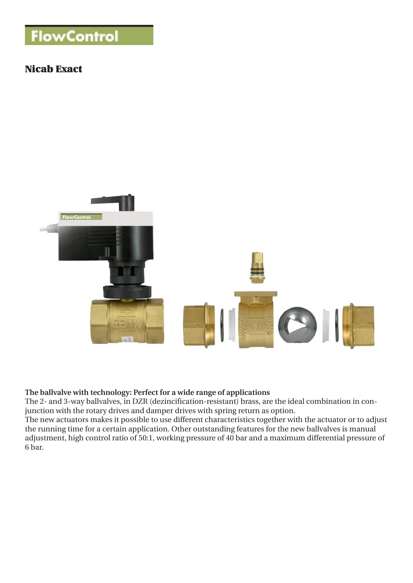# **FlowControl**

## Nicab Exact



## **The ballvalve with technology: Perfect for a wide range of applications**

The 2- and 3-way ballvalves, in DZR (dezincification-resistant) brass, are the ideal combination in conjunction with the rotary drives and damper drives with spring return as option.

The new actuators makes it possible to use different characteristics together with the actuator or to adjust the running time for a certain application. Other outstanding features for the new ballvalves is manual adjustment, high control ratio of 50:1, working pressure of 40 bar and a maximum differential pressure of 6 bar.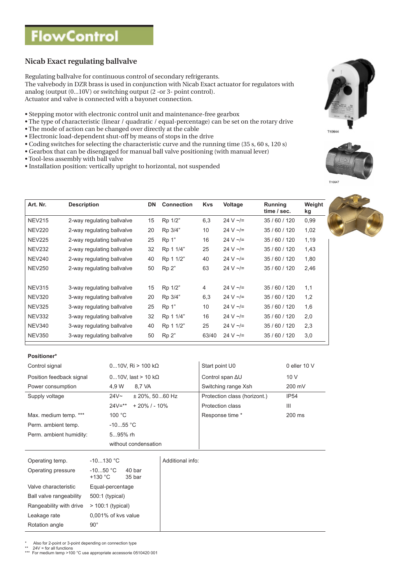## **FlowControl**

## **Nicab Exact regulating ballvalve**

Regulating ballvalve for continuous control of secondary refrigerants.

The valvebody in DZR brass is used in conjunction with Nicab Exact actuator for regulators with analog (output (0...10V) or switching output (2 -or 3- point control). Actuator and valve is connected with a bayonet connection.

- Stepping motor with electronic control unit and maintenance-free gearbox
- The type of characteristic (linear / quadratic / equal-percentage) can be set on the rotary drive
- The mode of action can be changed over directly at the cable
- Electronic load-dependent shut-off by means of stops in the drive
- Coding switches for selecting the characteristic curve and the running time (35 s, 60 s, 120 s)
- Gearbox that can be disengaged for manual ball valve positioning (with manual lever)
- Tool-less assembly with ball valve
- Installation position: vertically upright to horizontal, not suspended

| <b>Description</b>         | DN | <b>Connection</b> | <b>Kys</b>     | Voltage        | Running<br>time / sec. | Weight<br>kg |
|----------------------------|----|-------------------|----------------|----------------|------------------------|--------------|
| 2-way regulating ballvalve | 15 | Rp 1/2"           | 6,3            | 24 V $\sim$ /= | 35/60/120              | 0,99         |
| 2-way regulating ballvalve | 20 | Rp 3/4"           | 10             | 24 V $\sim$ /= | 35/60/120              | 1,02         |
| 2-way regulating ballvalve | 25 | Rp 1"             | 16             | 24 V $\sim$ /= | 35/60/120              | 1,19         |
| 2-way regulating ballvalve | 32 | Rp 1 1/4"         | 25             | 24 V $\sim$ /= | 35/60/120              | 1,43         |
| 2-way regulating ballvalve | 40 | Rp 1 1/2"         | 40             | 24 V $\sim$ /= | 35/60/120              | 1,80         |
| 2-way regulating ballvalve | 50 | Rp 2"             | 63             | 24 V $\sim$ /= | 35/60/120              | 2,46         |
|                            |    |                   |                |                |                        |              |
| 3-way regulating ballvalve | 15 | Rp 1/2"           | $\overline{4}$ | 24 V $\sim$ /= | 35/60/120              | 1,1          |
| 3-way regulating ballvalve | 20 | Rp 3/4"           | 6,3            | 24 V $\sim$ /= | 35/60/120              | 1,2          |
| 3-way regulating ballvalve | 25 | Rp 1"             | 10             | 24 V $\sim$ /= | 35/60/120              | 1,6          |
| 3-way regulating ballvalve | 32 | Rp 1 1/4"         | 16             | 24 V $\sim$ /= | 35/60/120              | 2,0          |
| 3-way regulating ballvalve | 40 | Rp 1 1/2"         | 25             | 24 V $\sim$ /= | 35/60/120              | 2,3          |
| 3-way regulating ballvalve | 50 | Rp 2"             | 63/40          | 24 V $\sim$ /= | 35/60/120              | 3,0          |
|                            |    |                   |                |                |                        |              |

#### **Positioner\***

| Control signal           | $010V$ , Ri > 100 k $\Omega$         | Start point U0               | 0 eller $10V$    |
|--------------------------|--------------------------------------|------------------------------|------------------|
| Position feedback signal | $010V$ , last > 10 k $\Omega$        | Control span AU              | 10V              |
| Power consumption        | 4.9 W<br>8.7 VA                      | Switching range Xsh          | 200 mV           |
| Supply voltage           | 24V <sub>~</sub><br>$±$ 20%, 5060 Hz | Protection class (horizont.) | <b>IP54</b>      |
|                          | $24V = **$<br>$+20\%$ / - 10%        | Protection class             | Ш                |
| Max. medium temp. ***    | 100 °C                               | Response time *              | $200 \text{ ms}$ |
| Perm. ambient temp.      | $-1055$ °C                           |                              |                  |
| Perm. ambient humidity:  | $595%$ rh                            |                              |                  |
|                          | without condensation                 |                              |                  |
|                          |                                      |                              |                  |

| Operating temp.         | $-10130 °C$             |                  | Additional info: |
|-------------------------|-------------------------|------------------|------------------|
| Operating pressure      | $-1050 °C$<br>$+130 °C$ | 40 bar<br>35 bar |                  |
| Valve characteristic    | Equal-percentage        |                  |                  |
| Ball valve rangeability | 500:1 (typical)         |                  |                  |
| Rangeability with drive | $> 100:1$ (typical)     |                  |                  |
| Leakage rate            | 0,001% of kvs value     |                  |                  |
| Rotation angle          | $90^{\circ}$            |                  |                  |

Also for 2-point or 3-point depending on connection type

\*\* 24V = for all functions \*\*\* For medium temp >100 °C use appropriate accessorie 0510420 001







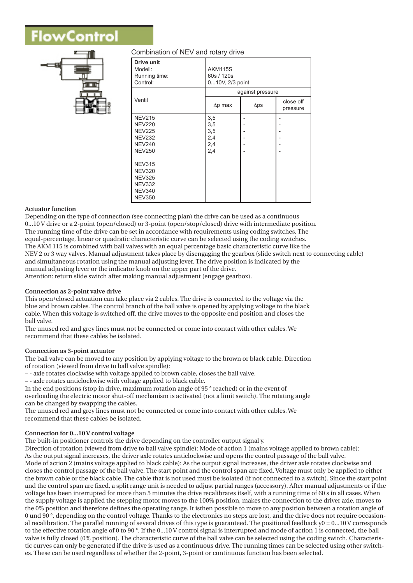# /Control



## Combination of NEV and rotary drive

| <b>Drive unit</b><br>Modell:<br>Running time:<br>Control:                                          | <b>AKM115S</b><br>60s / 120s<br>010V, 2/3 point |             |                       |
|----------------------------------------------------------------------------------------------------|-------------------------------------------------|-------------|-----------------------|
|                                                                                                    | against pressure                                |             |                       |
| Ventil                                                                                             | $\Delta p$ max                                  | $\Delta$ ps | close off<br>pressure |
| <b>NEV215</b><br><b>NEV220</b><br><b>NEV225</b><br><b>NEV232</b><br><b>NEV240</b><br><b>NEV250</b> | 3,5<br>3,5<br>3,5<br>2,4<br>2,4<br>2,4          |             |                       |
| <b>NEV315</b><br><b>NEV320</b><br><b>NEV325</b><br><b>NEV332</b><br><b>NEV340</b><br><b>NEV350</b> |                                                 |             |                       |

## **Actuator function**

Depending on the type of connection (see connecting plan) the drive can be used as a continuous 0...10 V drive or a 2-point (open/closed) or 3-point (open/stop/closed) drive with intermediate position. The running time of the drive can be set in accordance with requirements using coding switches. The equal-percentage, linear or quadratic characteristic curve can be selected using the coding switches. The AKM 115 is combined with ball valves with an equal percentage basic characteristic curve like the NEV 2 or 3 way valves. Manual adjustment takes place by disengaging the gearbox (slide switch next to connecting cable) and simultaneous rotation using the manual adjusting lever. The drive position is indicated by the manual adjusting lever or the indicator knob on the upper part of the drive. Attention: return slide switch after making manual adjustment (engage gearbox).

**Connection as 2-point valve drive**

This open/closed actuation can take place via 2 cables. The drive is connected to the voltage via the blue and brown cables. The control branch of the ball valve is opened by applying voltage to the black cable. When this voltage is switched off, the drive moves to the opposite end position and closes the ball valve.

The unused red and grey lines must not be connected or come into contact with other cables. We recommend that these cables be isolated.

## **Connection as 3-point actuator**

The ball valve can be moved to any position by applying voltage to the brown or black cable. Direction of rotation (viewed from drive to ball valve spindle):

– - axle rotates clockwise with voltage applied to brown cable, closes the ball valve.

– - axle rotates anticlockwise with voltage applied to black cable.

In the end positions (stop in drive, maximum rotation angle of 95 ° reached) or in the event of overloading the electric motor shut-off mechanism is activated (not a limit switch). The rotating angle can be changed by swapping the cables.

The unused red and grey lines must not be connected or come into contact with other cables. We recommend that these cables be isolated.

## **Connection for 0...10 V control voltage**

The built-in positioner controls the drive depending on the controller output signal y.

Direction of rotation (viewed from drive to ball valve spindle): Mode of action 1 (mains voltage applied to brown cable): As the output signal increases, the driver axle rotates anticlockwise and opens the control passage of the ball valve. Mode of action 2 (mains voltage applied to black cable): As the output signal increases, the driver axle rotates clockwise and closes the control passage of the ball valve. The start point and the control span are fixed. Voltage must only be applied to either the brown cable or the black cable. The cable that is not used must be isolated (if not connected to a switch). Since the start point and the control span are fixed, a split range unit is needed to adjust partial ranges (accessory). After manual adjustments or if the voltage has been interrupted for more than 5 minutes the drive recalibrates itself, with a running time of 60 s in all cases. When the supply voltage is applied the stepping motor moves to the 100% position, makes the connection to the driver axle, moves to the 0% position and therefore defines the operating range. It isthen possible to move to any position between a rotation angle of 0 und 90 °, depending on the control voltage. Thanks to the electronics no steps are lost, and the drive does not require occasional recalibration. The parallel running of several drives of this type is guaranteed. The positional feedback  $y0 = 0...10$  V corresponds to the effective rotation angle of 0 to 90 °. If the 0...10 V control signal is interrupted and mode of action 1 is connected, the ball valve is fully closed (0% position). The characteristic curve of the ball valve can be selected using the coding switch. Characteristic curves can only be generated if the drive is used as a continuous drive. The running times can be selected using other switches. These can be used regardless of whether the 2-point, 3-point or continuous function has been selected.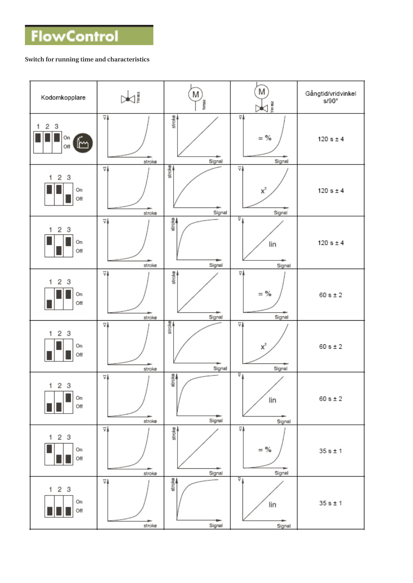## **Switch for running time and characteristics**

| Kodomkopplare                            | Jianas                            | M<br>Yorszo      | M)<br>$\frac{\sqrt{\frac{2}{n}}}{\sqrt{n}}$     | Gångtid/vridvinkel<br>$s/90^\circ$ |
|------------------------------------------|-----------------------------------|------------------|-------------------------------------------------|------------------------------------|
| 3<br>2<br>1<br>On<br>$\mathbb{R}$<br>Off | $\overline{\mathbf{v}}$<br>stroke | stroke<br>Signal | $\overline{\mathbf{v}}$<br>$=$ %<br>Signal      | 120 s $±$ 4                        |
| $\overline{c}$<br>3<br>1<br>On<br>Off    | $\overline{\mathbf{v}}$<br>stroke | stroke<br>Signal | $\overline{\nabla}$<br>$\mathsf{x}^2$<br>Signal | $120 s \pm 4$                      |
| 2<br>3<br>1<br>On<br>Off                 | $\overline{\mathbf{v}}$<br>stroke | stroke<br>Signal | $\overline{v}$<br>lin<br>Signal                 | $120 s \pm 4$                      |
| 2<br>3<br>1.<br>On<br>Off                | ⊽≬<br>stroke                      | stroke<br>Signal | ⊽≬<br>$=$ %<br>Signal                           | $60 s \pm 2$                       |
| 2<br>3<br>1<br>On<br>Off                 | $\overline{\mathbf{v}}$<br>stroke | stroke<br>Signal | $\overline{\nabla}$<br>$\mathsf{x}^2$<br>Signal | $60 s \pm 2$                       |
| 2 <sub>3</sub><br>1<br>On<br>Off         | $\overline{\mathbf{v}}$<br>stroke | stroke<br>Signal | $\overline{v}$<br>lin<br>Signal                 | $60 s \pm 2$                       |
| 2 <sub>3</sub><br>1.<br>On<br>Off        | $\overline{\mathbf{v}}$<br>stroke | stroke<br>Signal | ⊽Å<br>$=$ %<br>Signal                           | $35 s \pm 1$                       |
| 123<br>On<br>Off                         | ⊽≬<br>stroke                      | stroke<br>Signal | ⊽<br>lin<br>Signal                              | $35 s \pm 1$                       |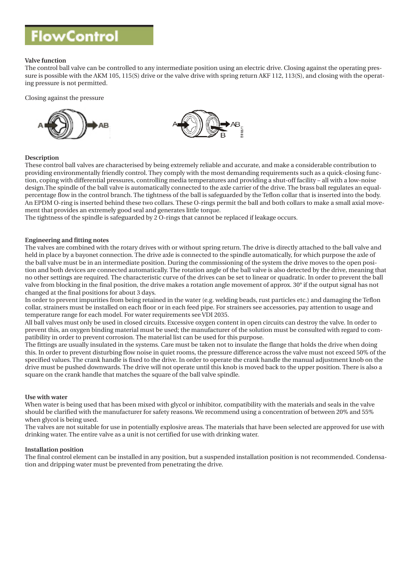## **Valve function**

The control ball valve can be controlled to any intermediate position using an electric drive. Closing against the operating pressure is possible with the AKM 105, 115(S) drive or the valve drive with spring return AKF 112, 113(S), and closing with the operating pressure is not permitted.

### Closing against the pressure



### **Description**

These control ball valves are characterised by being extremely reliable and accurate, and make a considerable contribution to providing environmentally friendly control. They comply with the most demanding requirements such as a quick-closing function, coping with differential pressures, controlling media temperatures and providing a shut-off facility – all with a low-noise design.The spindle of the ball valve is automatically connected to the axle carrier of the drive. The brass ball regulates an equalpercentage flow in the control branch. The tightness of the ball is safeguarded by the Teflon collar that is inserted into the body. An EPDM O-ring is inserted behind these two collars. These O-rings permit the ball and both collars to make a small axial movement that provides an extremely good seal and generates little torque.

The tightness of the spindle is safeguarded by 2 O-rings that cannot be replaced if leakage occurs.

### **Engineering and fitting notes**

The valves are combined with the rotary drives with or without spring return. The drive is directly attached to the ball valve and held in place by a bayonet connection. The drive axle is connected to the spindle automatically, for which purpose the axle of the ball valve must be in an intermediate position. During the commissioning of the system the drive moves to the open position and both devices are connected automatically. The rotation angle of the ball valve is also detected by the drive, meaning that no other settings are required. The characteristic curve of the drives can be set to linear or quadratic. In order to prevent the ball valve from blocking in the final position, the drive makes a rotation angle movement of approx. 30° if the output signal has not changed at the final positions for about 3 days.

In order to prevent impurities from being retained in the water (e.g. welding beads, rust particles etc.) and damaging the Teflon collar, strainers must be installed on each floor or in each feed pipe. For strainers see accessories, pay attention to usage and temperature range for each model. For water requirements see VDI 2035.

All ball valves must only be used in closed circuits. Excessive oxygen content in open circuits can destroy the valve. In order to prevent this, an oxygen binding material must be used; the manufacturer of the solution must be consulted with regard to compatibility in order to prevent corrosion. The material list can be used for this purpose.

The fittings are usually insulated in the systems. Care must be taken not to insulate the flange that holds the drive when doing this. In order to prevent disturbing flow noise in quiet rooms, the pressure difference across the valve must not exceed 50% of the specified values. The crank handle is fixed to the drive. In order to operate the crank handle the manual adjustment knob on the drive must be pushed downwards. The drive will not operate until this knob is moved back to the upper position. There is also a square on the crank handle that matches the square of the ball valve spindle.

#### **Use with water**

When water is being used that has been mixed with glycol or inhibitor, compatibility with the materials and seals in the valve should be clarified with the manufacturer for safety reasons. We recommend using a concentration of between 20% and 55% when glycol is being used.

The valves are not suitable for use in potentially explosive areas. The materials that have been selected are approved for use with drinking water. The entire valve as a unit is not certified for use with drinking water.

#### **Installation position**

The final control element can be installed in any position, but a suspended installation position is not recommended. Condensation and dripping water must be prevented from penetrating the drive.